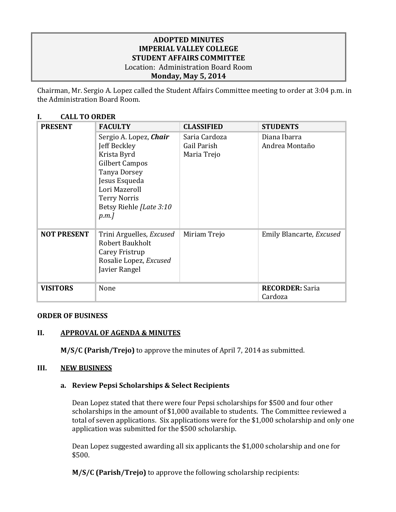### **ADOPTED MINUTES IMPERIAL VALLEY COLLEGE STUDENT AFFAIRS COMMITTEE** Location: Administration Board Room **Monday, May 5, 2014**

Chairman, Mr. Sergio A. Lopez called the Student Affairs Committee meeting to order at 3:04 p.m. in the Administration Board Room.

| <b>CALL TO ORDER</b> |                                                                                                                                                                                                   |                                             |                                   |  |
|----------------------|---------------------------------------------------------------------------------------------------------------------------------------------------------------------------------------------------|---------------------------------------------|-----------------------------------|--|
| <b>PRESENT</b>       | <b>FACULTY</b>                                                                                                                                                                                    | <b>CLASSIFIED</b>                           | <b>STUDENTS</b>                   |  |
|                      | Sergio A. Lopez, Chair<br>Jeff Beckley<br>Krista Byrd<br><b>Gilbert Campos</b><br><b>Tanya Dorsey</b><br>Jesus Esqueda<br>Lori Mazeroll<br><b>Terry Norris</b><br>Betsy Riehle [Late 3:10<br>p.m. | Saria Cardoza<br>Gail Parish<br>Maria Trejo | Diana Ibarra<br>Andrea Montaño    |  |
| <b>NOT PRESENT</b>   | Trini Arguelles, Excused<br><b>Robert Baukholt</b><br>Carey Fristrup<br>Rosalie Lopez, Excused<br>Javier Rangel                                                                                   | Miriam Trejo                                | Emily Blancarte, Excused          |  |
| <b>VISITORS</b>      | None                                                                                                                                                                                              |                                             | <b>RECORDER: Saria</b><br>Cardoza |  |

#### **ORDER OF BUSINESS**

#### **II. APPROVAL OF AGENDA & MINUTES**

**M/S/C (Parish/Trejo)** to approve the minutes of April 7, 2014 as submitted.

#### **III. NEW BUSINESS**

#### **a. Review Pepsi Scholarships & Select Recipients**

Dean Lopez stated that there were four Pepsi scholarships for \$500 and four other scholarships in the amount of \$1,000 available to students. The Committee reviewed a total of seven applications. Six applications were for the \$1,000 scholarship and only one application was submitted for the \$500 scholarship.

Dean Lopez suggested awarding all six applicants the \$1,000 scholarship and one for \$500.

**M/S/C (Parish/Trejo)** to approve the following scholarship recipients: